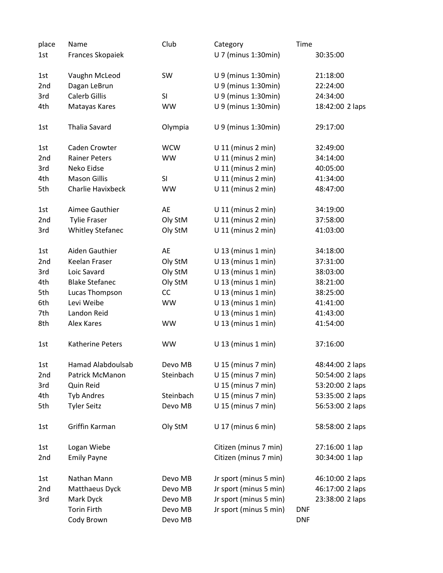| place | Name                     | Club       | Category               | Time            |
|-------|--------------------------|------------|------------------------|-----------------|
| 1st   | Frances Skopaiek         |            | U 7 (minus 1:30min)    | 30:35:00        |
| 1st   | Vaughn McLeod            | SW         | U 9 (minus 1:30min)    | 21:18:00        |
| 2nd   | Dagan LeBrun             |            | U 9 (minus 1:30min)    | 22:24:00        |
| 3rd   | <b>Calerb Gillis</b>     | <b>SI</b>  | U 9 (minus 1:30min)    | 24:34:00        |
| 4th   | Matayas Kares            | <b>WW</b>  | U 9 (minus 1:30min)    | 18:42:00 2 laps |
| 1st   | <b>Thalia Savard</b>     | Olympia    | U 9 (minus 1:30min)    | 29:17:00        |
| 1st   | Caden Crowter            | <b>WCW</b> | $U$ 11 (minus 2 min)   | 32:49:00        |
| 2nd   | <b>Rainer Peters</b>     | <b>WW</b>  | $U$ 11 (minus 2 min)   | 34:14:00        |
| 3rd   | Neko Eidse               |            | $U$ 11 (minus 2 min)   | 40:05:00        |
| 4th   | <b>Mason Gillis</b>      | SI         | $U$ 11 (minus 2 min)   | 41:34:00        |
| 5th   | Charlie Havixbeck        | <b>WW</b>  | $U$ 11 (minus 2 min)   | 48:47:00        |
| 1st   | Aimee Gauthier           | AE         | $U$ 11 (minus 2 min)   | 34:19:00        |
| 2nd   | <b>Tylie Fraser</b>      | Oly StM    | $U$ 11 (minus 2 min)   | 37:58:00        |
| 3rd   | <b>Whitley Stefanec</b>  | Oly StM    | $U$ 11 (minus 2 min)   | 41:03:00        |
| 1st   | Aiden Gauthier           | AE         | $U$ 13 (minus 1 min)   | 34:18:00        |
| 2nd   | <b>Keelan Fraser</b>     | Oly StM    | $U$ 13 (minus 1 min)   | 37:31:00        |
| 3rd   | Loic Savard              | Oly StM    | $U$ 13 (minus 1 min)   | 38:03:00        |
| 4th   | <b>Blake Stefanec</b>    | Oly StM    | $U$ 13 (minus 1 min)   | 38:21:00        |
| 5th   | Lucas Thompson           | CC         | $U$ 13 (minus 1 min)   | 38:25:00        |
| 6th   | Levi Weibe               | <b>WW</b>  | $U$ 13 (minus 1 min)   | 41:41:00        |
| 7th   | Landon Reid              |            | $U$ 13 (minus 1 min)   | 41:43:00        |
| 8th   | Alex Kares               | <b>WW</b>  | $U$ 13 (minus 1 min)   | 41:54:00        |
| 1st   | Katherine Peters         | <b>WW</b>  | $U$ 13 (minus 1 min)   | 37:16:00        |
| 1st   | <b>Hamad Alabdoulsab</b> | Devo MB    | U 15 (minus 7 min)     | 48:44:00 2 laps |
| 2nd   | Patrick McManon          | Steinbach  | $U$ 15 (minus 7 min)   | 50:54:00 2 laps |
| 3rd   | Quin Reid                |            | $U$ 15 (minus 7 min)   | 53:20:00 2 laps |
| 4th   | <b>Tyb Andres</b>        | Steinbach  | $U$ 15 (minus 7 min)   | 53:35:00 2 laps |
| 5th   | <b>Tyler Seitz</b>       | Devo MB    | $U$ 15 (minus 7 min)   | 56:53:00 2 laps |
| 1st   | Griffin Karman           | Oly StM    | $U$ 17 (minus 6 min)   | 58:58:00 2 laps |
| 1st   | Logan Wiebe              |            | Citizen (minus 7 min)  | 27:16:00 1 lap  |
| 2nd   | <b>Emily Payne</b>       |            | Citizen (minus 7 min)  | 30:34:00 1 lap  |
| 1st   | Nathan Mann              | Devo MB    | Jr sport (minus 5 min) | 46:10:00 2 laps |
| 2nd   | Matthaeus Dyck           | Devo MB    | Jr sport (minus 5 min) | 46:17:00 2 laps |
| 3rd   | Mark Dyck                | Devo MB    | Jr sport (minus 5 min) | 23:38:00 2 laps |
|       | <b>Torin Firth</b>       | Devo MB    | Jr sport (minus 5 min) | <b>DNF</b>      |
|       | Cody Brown               | Devo MB    |                        | <b>DNF</b>      |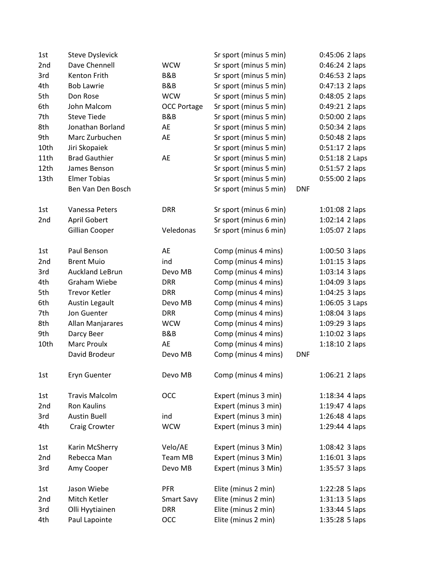| 1st  | <b>Steve Dyslevick</b> |                    | Sr sport (minus 5 min) |            | 0:45:06 2 laps   |
|------|------------------------|--------------------|------------------------|------------|------------------|
| 2nd  | Dave Chennell          | <b>WCW</b>         | Sr sport (minus 5 min) |            | 0:46:24 2 laps   |
| 3rd  | Kenton Frith           | B&B                | Sr sport (minus 5 min) |            | $0:46:53$ 2 laps |
| 4th  | <b>Bob Lawrie</b>      | B&B                | Sr sport (minus 5 min) |            | $0:47:13$ 2 laps |
| 5th  | Don Rose               | <b>WCW</b>         | Sr sport (minus 5 min) |            | 0:48:05 2 laps   |
| 6th  | John Malcom            | <b>OCC Portage</b> | Sr sport (minus 5 min) |            | 0:49:21 2 laps   |
| 7th  | <b>Steve Tiede</b>     | B&B                | Sr sport (minus 5 min) |            | 0:50:00 2 laps   |
| 8th  | Jonathan Borland       | AE                 | Sr sport (minus 5 min) |            | $0:50:34$ 2 laps |
| 9th  | Marc Zurbuchen         | AE                 | Sr sport (minus 5 min) |            | 0:50:48 2 laps   |
| 10th | Jiri Skopaiek          |                    | Sr sport (minus 5 min) |            | 0:51:17 2 laps   |
| 11th | <b>Brad Gauthier</b>   | AE                 | Sr sport (minus 5 min) |            | 0:51:18 2 Laps   |
| 12th | James Benson           |                    | Sr sport (minus 5 min) |            | $0:51:57$ 2 laps |
| 13th | <b>Elmer Tobias</b>    |                    | Sr sport (minus 5 min) |            | 0:55:00 2 laps   |
|      | Ben Van Den Bosch      |                    | Sr sport (minus 5 min) | <b>DNF</b> |                  |
| 1st  | Vanessa Peters         | <b>DRR</b>         | Sr sport (minus 6 min) |            | $1:01:08$ 2 laps |
| 2nd  | April Gobert           |                    | Sr sport (minus 6 min) |            | $1:02:14$ 2 laps |
|      | Gillian Cooper         | Veledonas          | Sr sport (minus 6 min) |            | 1:05:07 2 laps   |
| 1st  | Paul Benson            | AE                 | Comp (minus 4 mins)    |            | $1:00:50$ 3 laps |
| 2nd  | <b>Brent Muio</b>      | ind                | Comp (minus 4 mins)    |            | $1:01:15$ 3 laps |
| 3rd  | <b>Auckland LeBrun</b> | Devo MB            | Comp (minus 4 mins)    |            | $1:03:14$ 3 laps |
| 4th  | <b>Graham Wiebe</b>    | <b>DRR</b>         | Comp (minus 4 mins)    |            | 1:04:09 3 laps   |
| 5th  | <b>Trevor Ketler</b>   | <b>DRR</b>         | Comp (minus 4 mins)    |            | $1:04:25$ 3 laps |
| 6th  | Austin Legault         | Devo MB            | Comp (minus 4 mins)    |            | 1:06:05 3 Laps   |
| 7th  | Jon Guenter            | <b>DRR</b>         | Comp (minus 4 mins)    |            | $1:08:04$ 3 laps |
| 8th  | Allan Manjarares       | <b>WCW</b>         | Comp (minus 4 mins)    |            | 1:09:29 3 laps   |
| 9th  | Darcy Beer             | B&B                | Comp (minus 4 mins)    |            | $1:10:02$ 3 laps |
| 10th | <b>Marc Proulx</b>     | AE                 | Comp (minus 4 mins)    |            | $1:18:10$ 2 laps |
|      | David Brodeur          | Devo MB            | Comp (minus 4 mins)    | <b>DNF</b> |                  |
| 1st  | Eryn Guenter           | Devo MB            | Comp (minus 4 mins)    |            | 1:06:21 2 laps   |
| 1st  | <b>Travis Malcolm</b>  | OCC                | Expert (minus 3 min)   |            | 1:18:34 4 laps   |
| 2nd  | <b>Ron Kaulins</b>     |                    | Expert (minus 3 min)   |            | 1:19:47 4 laps   |
| 3rd  | <b>Austin Buell</b>    | ind                | Expert (minus 3 min)   |            | 1:26:48 4 laps   |
| 4th  | Craig Crowter          | <b>WCW</b>         | Expert (minus 3 min)   |            | 1:29:44 4 laps   |
| 1st  | Karin McSherry         | Velo/AE            | Expert (minus 3 Min)   |            | 1:08:42 3 laps   |
| 2nd  | Rebecca Man            | Team MB            | Expert (minus 3 Min)   |            | $1:16:01$ 3 laps |
| 3rd  | Amy Cooper             | Devo MB            | Expert (minus 3 Min)   |            | 1:35:57 3 laps   |
| 1st  | Jason Wiebe            | <b>PFR</b>         | Elite (minus 2 min)    |            | 1:22:28 5 laps   |
| 2nd  | Mitch Ketler           | <b>Smart Savy</b>  | Elite (minus 2 min)    |            | 1:31:13 5 laps   |
| 3rd  | Olli Hyytiainen        | <b>DRR</b>         | Elite (minus 2 min)    |            | 1:33:44 5 laps   |
| 4th  | Paul Lapointe          | <b>OCC</b>         | Elite (minus 2 min)    |            | 1:35:28 5 laps   |